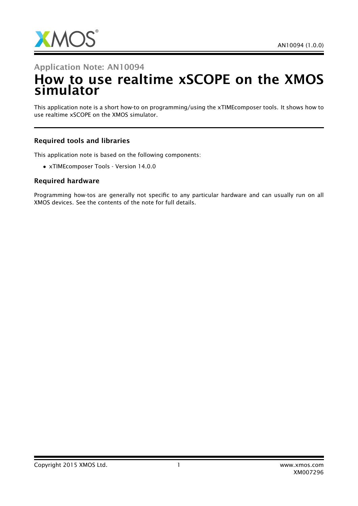

### Application Note: AN10094

# How to use realtime xSCOPE on the XMOS simulator

This application note is a short how-to on programming/using the xTIMEcomposer tools. It shows how to use realtime xSCOPE on the XMOS simulator.

#### Required tools and libraries

This application note is based on the following components:

• xTIMEcomposer Tools - Version 14.0.0

#### Required hardware

Programming how-tos are generally not specific to any particular hardware and can usually run on all XMOS devices. See the contents of the note for full details.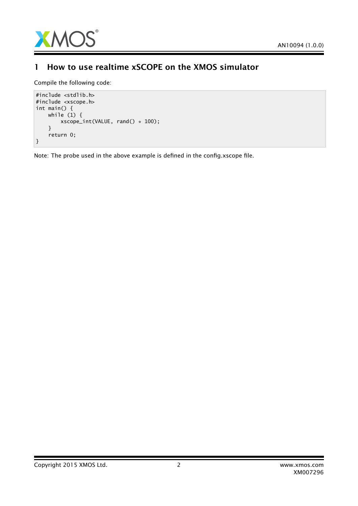

### 1 How to use realtime xSCOPE on the XMOS simulator

Compile the following code:

```
#include <stdlib.h>
#include <xscope.h>
int main() {
   while (1) {
        xscope_int(VALUE, rand() * 100);
    }
    return 0;
}
```
Note: The probe used in the above example is defined in the config.xscope file.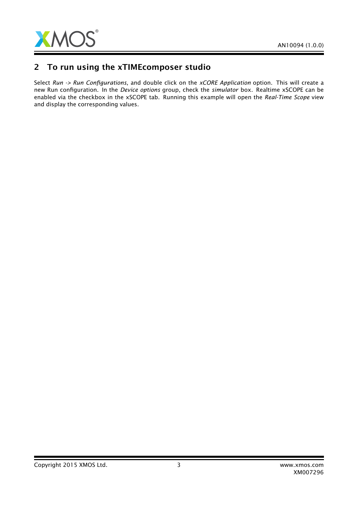

### 2 To run using the xTIMEcomposer studio

Select *Run -> Run Configurations*, and double click on the *xCORE Application* option. This will create a new Run configuration. In the *Device options* group, check the *simulator* box. Realtime xSCOPE can be enabled via the checkbox in the xSCOPE tab. Running this example will open the *Real-Time Scope* view and display the corresponding values.